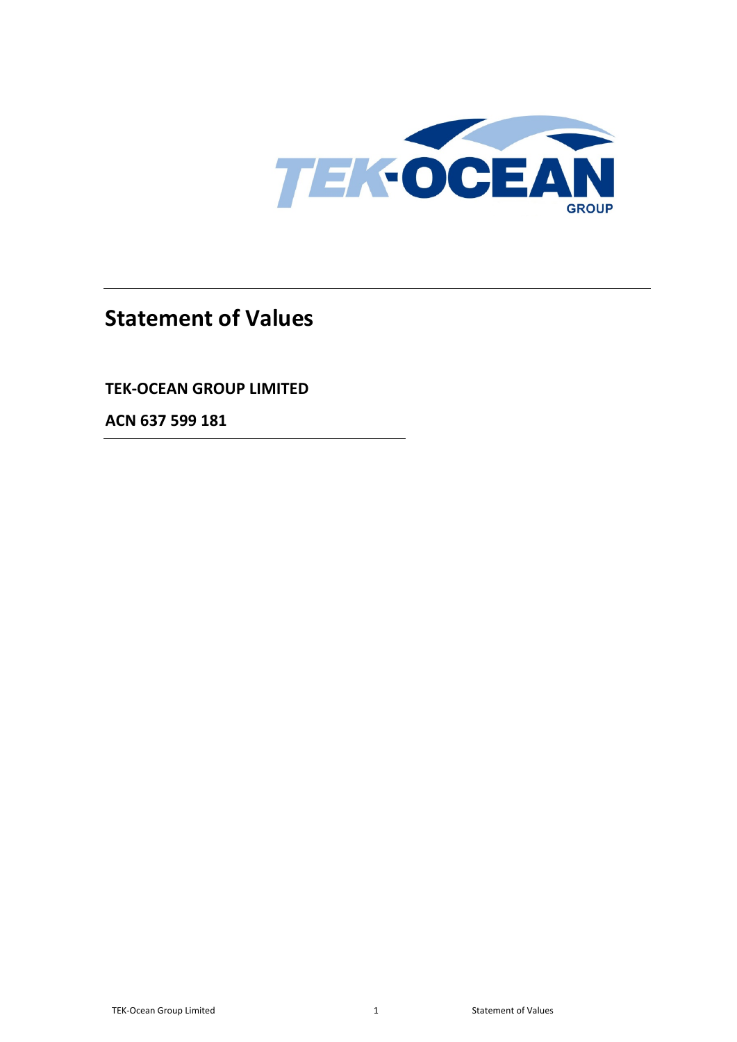

# **Statement of Values**

## **TEK-OCEAN GROUP LIMITED**

**ACN 637 599 181**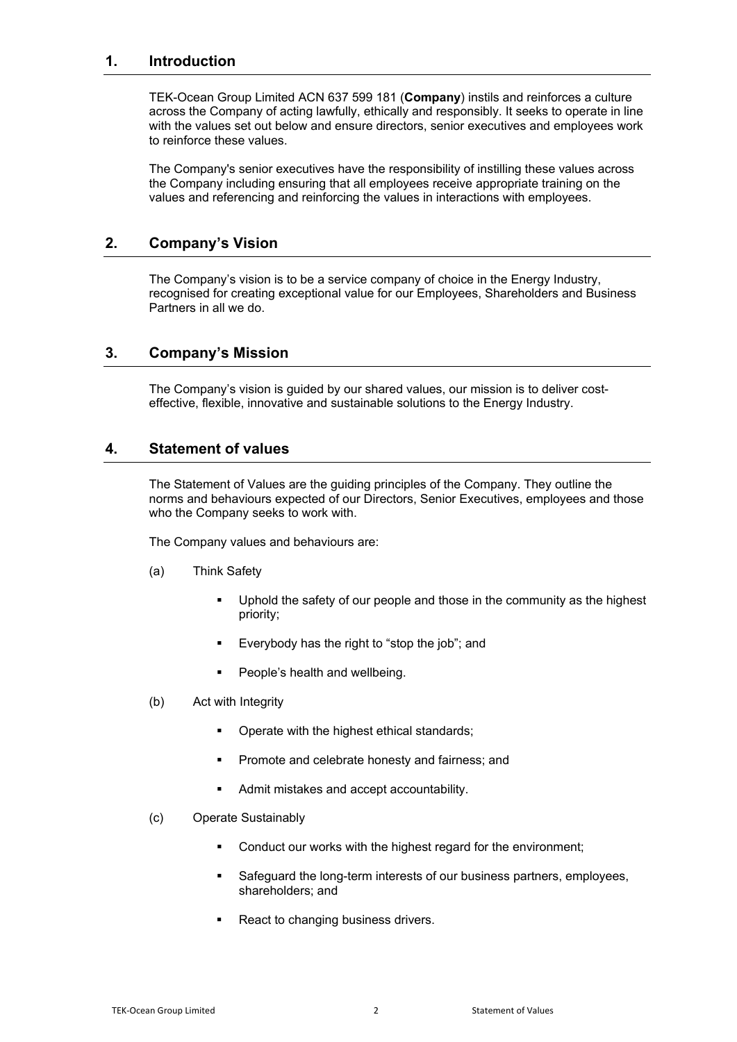#### **1. Introduction**

TEK-Ocean Group Limited ACN 637 599 181 (**Company**) instils and reinforces a culture across the Company of acting lawfully, ethically and responsibly. It seeks to operate in line with the values set out below and ensure directors, senior executives and employees work to reinforce these values.

The Company's senior executives have the responsibility of instilling these values across the Company including ensuring that all employees receive appropriate training on the values and referencing and reinforcing the values in interactions with employees.

#### **2. Company's Vision**

The Company's vision is to be a service company of choice in the Energy Industry, recognised for creating exceptional value for our Employees, Shareholders and Business Partners in all we do.

#### **3. Company's Mission**

The Company's vision is guided by our shared values, our mission is to deliver costeffective, flexible, innovative and sustainable solutions to the Energy Industry.

#### **4. Statement of values**

The Statement of Values are the guiding principles of the Company. They outline the norms and behaviours expected of our Directors, Senior Executives, employees and those who the Company seeks to work with.

The Company values and behaviours are:

- (a) Think Safety
	- Uphold the safety of our people and those in the community as the highest priority;
	- Everybody has the right to "stop the job"; and
	- **People's health and wellbeing.**
- (b) Act with Integrity
	- Operate with the highest ethical standards;
	- Promote and celebrate honesty and fairness; and
	- Admit mistakes and accept accountability.
- (c) Operate Sustainably
	- Conduct our works with the highest regard for the environment;
	- Safeguard the long-term interests of our business partners, employees, shareholders; and
	- React to changing business drivers.